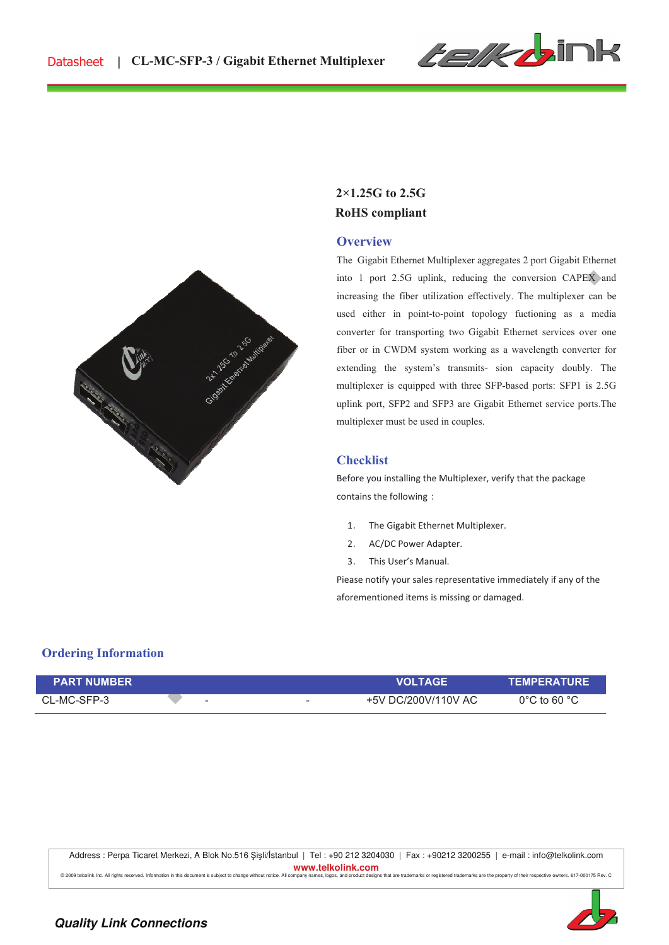

# **RoHS compliant 2×1.25G to 2.5G**

#### **Overview**

The Gigabit Ethernet Multiplexer aggregates 2 port Gigabit Ethernet into 1 port 2.5G uplink, reducing the conversion CAPEX and increasing the fiber utilization effectively. The multiplexer can be used either in point-to-point topology fuctioning as a media converter for transporting two Gigabit Ethernet services over one fiber or in CWDM system working as a wavelength converter for extending the system's transmits- sion capacity doubly. The multiplexer is equipped with three SFP-based ports: SFP1 is 2.5G uplink port, SFP2 and SFP3 are Gigabit Ethernet service ports.The multiplexer must be used in couples.

#### **Checklist**

Before you installing the Multiplexer, verify that the package contains the following:

- 1. The Gigabit Ethernet Multiplexer.
- 2. AC/DC Power Adapter.
- 3. This User's Manual.

Piease notify your sales representative immediately if any of the aforementioned items is missing or damaged.

# **Ordering Information**

| <b>PART NUMBER</b> |   |   | <b>VOLTAGE</b>      | <b>TEMPERATURE</b>               |
|--------------------|---|---|---------------------|----------------------------------|
| CL-MC-SFP-3        | - | - | +5V DC/200V/110V AC | $0^{\circ}$ C to 60 $^{\circ}$ C |

Address : Perpa Ticaret Merkezi, A Blok No.516 Şişli/İstanbul | Tel : +90 212 3204030 | Fax : +90212 3200255 | e-mail : info@telkolink.com **www.telkolink.com**<br> **All commany names, logos, and product design** 

are the property of their respe

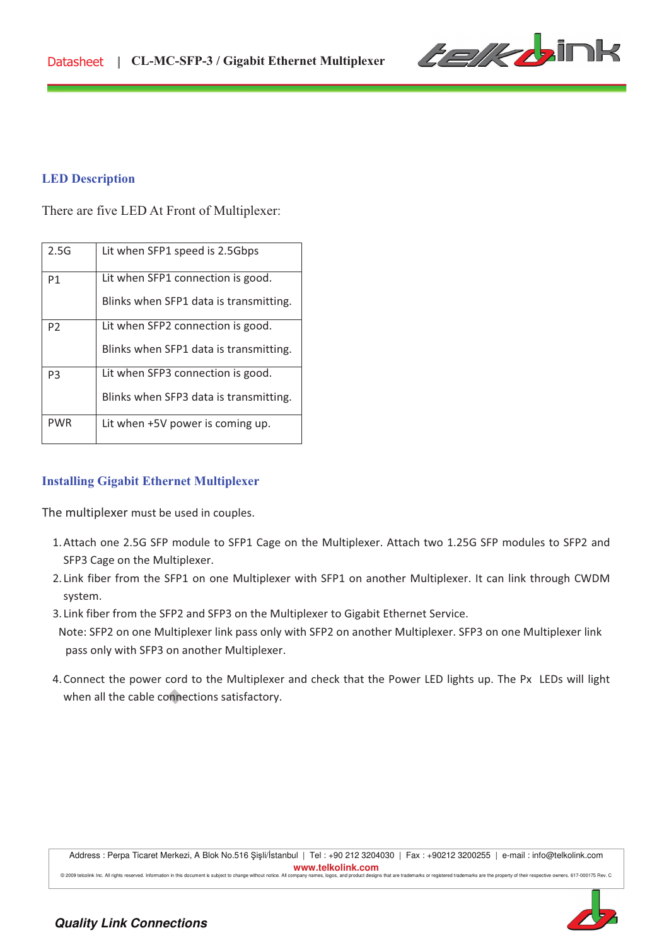

#### **LED Description**

There are five LED At Front of Multiplexer:

| 2.5G           | Lit when SFP1 speed is 2.5Gbps         |
|----------------|----------------------------------------|
| P1             | Lit when SFP1 connection is good.      |
|                | Blinks when SFP1 data is transmitting. |
| P <sub>2</sub> | Lit when SFP2 connection is good.      |
|                | Blinks when SFP1 data is transmitting. |
| P <sub>3</sub> | Lit when SFP3 connection is good.      |
|                | Blinks when SFP3 data is transmitting. |
| <b>PWR</b>     | Lit when +5V power is coming up.       |

# **Installing Gigabit Ethernet Multiplexer**

The multiplexer must be used in couples.

- 1.Attach one 2.5G SFP module to SFP1 Cage on the Multiplexer. Attach two 1.25G SFP modules to SFP2 and SFP3 Cage on the Multiplexer.
- 2. Link fiber from the SFP1 on one Multiplexer with SFP1 on another Multiplexer. It can link through CWDM system.
- 3. Link fiber from the SFP2 and SFP3 on the Multiplexer to Gigabit Ethernet Service.
- Note: SFP2 on one Multiplexer link pass only with SFP2 on another Multiplexer. SFP3 on one Multiplexer link pass only with SFP3 on another Multiplexer.
- 4. Connect the power cord to the Multiplexer and check that the Power LED lights up. The Px LEDs will light when all the cable connections satisfactory.



!!!!!!!!!!!!!!!!!!!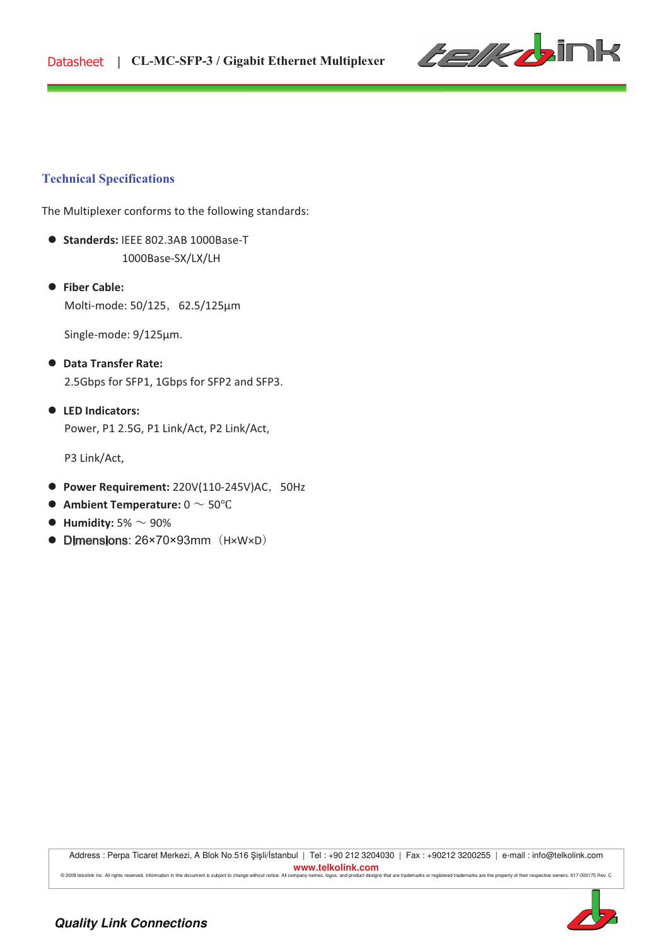

#### **Technical Specifications**

The Multiplexer conforms to the following standards:

- **Standerds: IEEE 802.3AB 1000Base-T** 1000Base-SX/LX/LH
- ! **Fiber Cable:!!** Molti-mode: 50/125, 62.5/125µm

Single-mode: 9/125µm.

- ! **Data Transfer Rate:** 2.5Gbps for SFP1, 1Gbps for SFP2 and SFP3.
- ! **LED Indicators:** Power, P1 2.5G, P1 Link/Act, P2 Link/Act,

P3 Link/Act,

- **Power Requirement:** 220V(110-245V)AC, 50Hz
- $\bullet$  Ambient Temperature:  $0 \sim 50^{\circ}$ C
- $\bullet$  Humidity: 5%  $\sim$  90%
- $\bullet$  Dimensions: 26×70×93mm  $(H \times W \times D)$

Address : Perpa Ticaret Merkezi, A Blok No.516 Şişli/İstanbul | Tel : +90 212 3204030 | Fax : +90212 3200255 | e-mail : info@telkolink.com **www.telkolink.com**  @ 2009 teloolink Inc. All rights reserved. Information in this document is subject to change without notice. All company names, logos, and product designs that are trademarks or registered trademarks are the property of th



!!!!!!!!!!!!!!!!!!!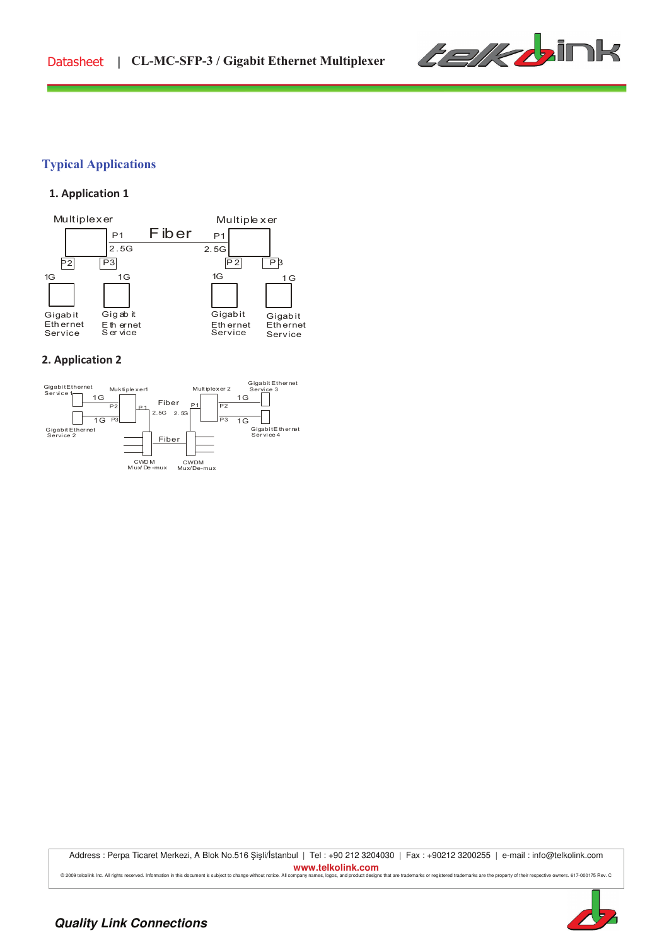

# **Typical Applications**

# !! **1. Application 1**



#### **2. Application 2**



Address : Perpa Ticaret Merkezi, A Blok No.516 Şişli/İstanbul | Tel : +90 212 3204030 | Fax : +90212 3200255 | e-mail : info@telkolink.com **www.telkolink.com**  © 2009 telcolink Inc. All rights reserved. Information in this document is subject to change without notice. All company names, logos, and product designs that are trademarks or registered trademarks are the property of th



!!!!!!!!!!!!!!!!!!!